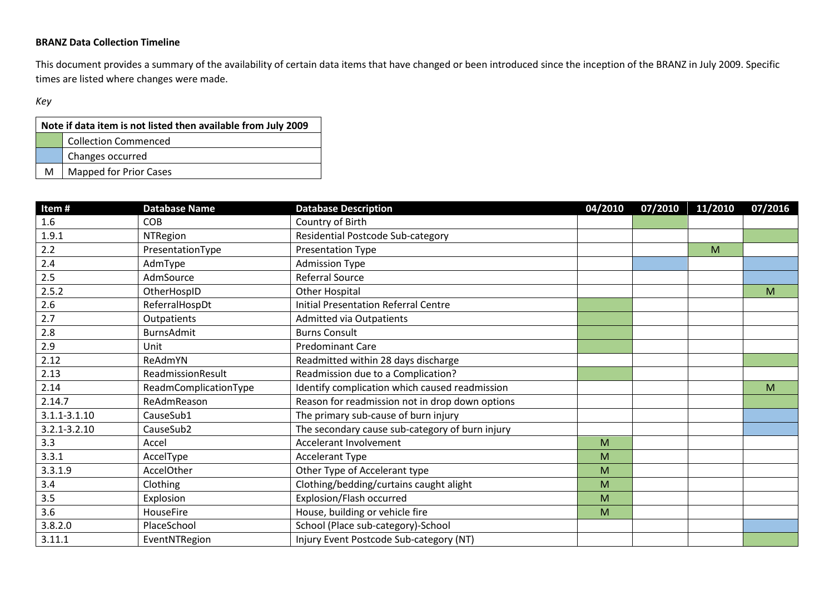## **BRANZ Data Collection Timeline**

This document provides a summary of the availability of certain data items that have changed or been introduced since the inception of the BRANZ in July 2009. Specific times are listed where changes were made.

## *Key*

| Note if data item is not listed then available from July 2009 |                               |  |  |  |  |
|---------------------------------------------------------------|-------------------------------|--|--|--|--|
|                                                               | <b>Collection Commenced</b>   |  |  |  |  |
|                                                               | Changes occurred              |  |  |  |  |
| м                                                             | <b>Mapped for Prior Cases</b> |  |  |  |  |

| Item#            | <b>Database Name</b>  | <b>Database Description</b>                     | 04/2010 | 07/2010 | 11/2010 | 07/2016 |
|------------------|-----------------------|-------------------------------------------------|---------|---------|---------|---------|
| 1.6              | <b>COB</b>            | Country of Birth                                |         |         |         |         |
| 1.9.1            | <b>NTRegion</b>       | Residential Postcode Sub-category               |         |         |         |         |
| 2.2              | PresentationType      | Presentation Type                               |         |         | M       |         |
| 2.4              | AdmType               | <b>Admission Type</b>                           |         |         |         |         |
| 2.5              | AdmSource             | Referral Source                                 |         |         |         |         |
| 2.5.2            | OtherHospID           | Other Hospital                                  |         |         |         | M       |
| 2.6              | ReferralHospDt        | <b>Initial Presentation Referral Centre</b>     |         |         |         |         |
| 2.7              | Outpatients           | <b>Admitted via Outpatients</b>                 |         |         |         |         |
| 2.8              | <b>BurnsAdmit</b>     | <b>Burns Consult</b>                            |         |         |         |         |
| 2.9              | Unit                  | <b>Predominant Care</b>                         |         |         |         |         |
| 2.12             | ReAdmYN               | Readmitted within 28 days discharge             |         |         |         |         |
| 2.13             | ReadmissionResult     | Readmission due to a Complication?              |         |         |         |         |
| 2.14             | ReadmComplicationType | Identify complication which caused readmission  |         |         |         | M       |
| 2.14.7           | ReAdmReason           | Reason for readmission not in drop down options |         |         |         |         |
| $3.1.1 - 3.1.10$ | CauseSub1             | The primary sub-cause of burn injury            |         |         |         |         |
| $3.2.1 - 3.2.10$ | CauseSub2             | The secondary cause sub-category of burn injury |         |         |         |         |
| 3.3              | Accel                 | <b>Accelerant Involvement</b>                   | M       |         |         |         |
| 3.3.1            | AccelType             | <b>Accelerant Type</b>                          | M       |         |         |         |
| 3.3.1.9          | <b>AccelOther</b>     | Other Type of Accelerant type                   | M       |         |         |         |
| 3.4              | Clothing              | Clothing/bedding/curtains caught alight         | M       |         |         |         |
| 3.5              | Explosion             | Explosion/Flash occurred                        | M       |         |         |         |
| 3.6              | <b>HouseFire</b>      | House, building or vehicle fire                 | M       |         |         |         |
| 3.8.2.0          | PlaceSchool           | School (Place sub-category)-School              |         |         |         |         |
| 3.11.1           | EventNTRegion         | Injury Event Postcode Sub-category (NT)         |         |         |         |         |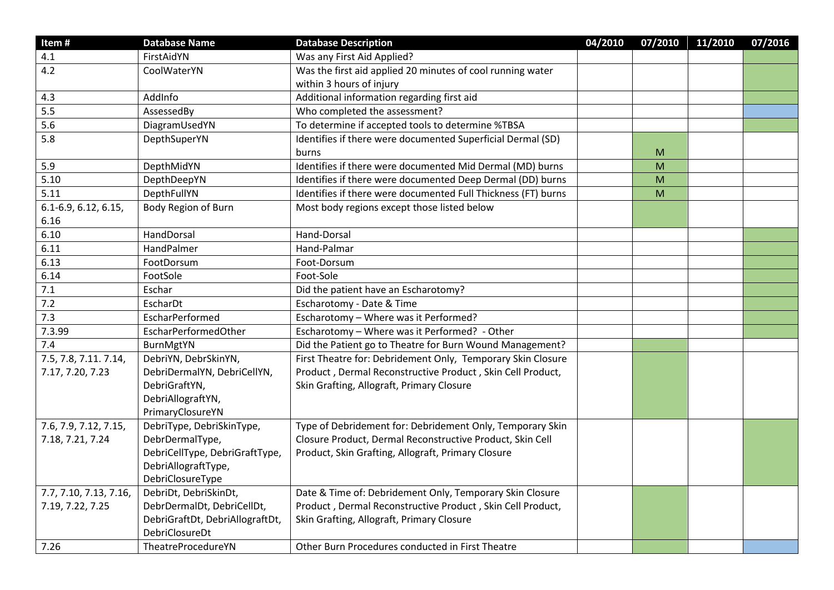| Item#                  | <b>Database Name</b>            | <b>Database Description</b>                                   | 04/2010 | 07/2010 | 11/2010 | 07/2016 |
|------------------------|---------------------------------|---------------------------------------------------------------|---------|---------|---------|---------|
| 4.1                    | FirstAidYN                      | Was any First Aid Applied?                                    |         |         |         |         |
| 4.2                    | CoolWaterYN                     | Was the first aid applied 20 minutes of cool running water    |         |         |         |         |
|                        |                                 | within 3 hours of injury                                      |         |         |         |         |
| 4.3                    | AddInfo                         | Additional information regarding first aid                    |         |         |         |         |
| 5.5                    | AssessedBy                      | Who completed the assessment?                                 |         |         |         |         |
| 5.6                    | DiagramUsedYN                   | To determine if accepted tools to determine %TBSA             |         |         |         |         |
| 5.8                    | DepthSuperYN                    | Identifies if there were documented Superficial Dermal (SD)   |         |         |         |         |
|                        |                                 | burns                                                         |         | M       |         |         |
| 5.9                    | DepthMidYN                      | Identifies if there were documented Mid Dermal (MD) burns     |         | M       |         |         |
| 5.10                   | DepthDeepYN                     | Identifies if there were documented Deep Dermal (DD) burns    |         | M       |         |         |
| 5.11                   | DepthFullYN                     | Identifies if there were documented Full Thickness (FT) burns |         | M       |         |         |
| 6.1-6.9, 6.12, 6.15,   | Body Region of Burn             | Most body regions except those listed below                   |         |         |         |         |
| 6.16                   |                                 |                                                               |         |         |         |         |
| 6.10                   | HandDorsal                      | Hand-Dorsal                                                   |         |         |         |         |
| 6.11                   | HandPalmer                      | Hand-Palmar                                                   |         |         |         |         |
| 6.13                   | FootDorsum                      | Foot-Dorsum                                                   |         |         |         |         |
| 6.14                   | FootSole                        | Foot-Sole                                                     |         |         |         |         |
| 7.1                    | Eschar                          | Did the patient have an Escharotomy?                          |         |         |         |         |
| 7.2                    | EscharDt                        | Escharotomy - Date & Time                                     |         |         |         |         |
| 7.3                    | EscharPerformed                 | Escharotomy - Where was it Performed?                         |         |         |         |         |
| 7.3.99                 | EscharPerformedOther            | Escharotomy - Where was it Performed? - Other                 |         |         |         |         |
| 7.4                    | BurnMgtYN                       | Did the Patient go to Theatre for Burn Wound Management?      |         |         |         |         |
| 7.5, 7.8, 7.11. 7.14,  | DebriYN, DebrSkinYN,            | First Theatre for: Debridement Only, Temporary Skin Closure   |         |         |         |         |
| 7.17, 7.20, 7.23       | DebriDermalYN, DebriCellYN,     | Product, Dermal Reconstructive Product, Skin Cell Product,    |         |         |         |         |
|                        | DebriGraftYN,                   | Skin Grafting, Allograft, Primary Closure                     |         |         |         |         |
|                        | DebriAllograftYN,               |                                                               |         |         |         |         |
|                        | PrimaryClosureYN                |                                                               |         |         |         |         |
| 7.6, 7.9, 7.12, 7.15,  | DebriType, DebriSkinType,       | Type of Debridement for: Debridement Only, Temporary Skin     |         |         |         |         |
| 7.18, 7.21, 7.24       | DebrDermalType,                 | Closure Product, Dermal Reconstructive Product, Skin Cell     |         |         |         |         |
|                        | DebriCellType, DebriGraftType,  | Product, Skin Grafting, Allograft, Primary Closure            |         |         |         |         |
|                        | DebriAllograftType,             |                                                               |         |         |         |         |
|                        | DebriClosureType                |                                                               |         |         |         |         |
| 7.7, 7.10, 7.13, 7.16, | DebriDt, DebriSkinDt,           | Date & Time of: Debridement Only, Temporary Skin Closure      |         |         |         |         |
| 7.19, 7.22, 7.25       | DebrDermalDt, DebriCellDt,      | Product, Dermal Reconstructive Product, Skin Cell Product,    |         |         |         |         |
|                        | DebriGraftDt, DebriAllograftDt, | Skin Grafting, Allograft, Primary Closure                     |         |         |         |         |
|                        | DebriClosureDt                  |                                                               |         |         |         |         |
| 7.26                   | TheatreProcedureYN              | Other Burn Procedures conducted in First Theatre              |         |         |         |         |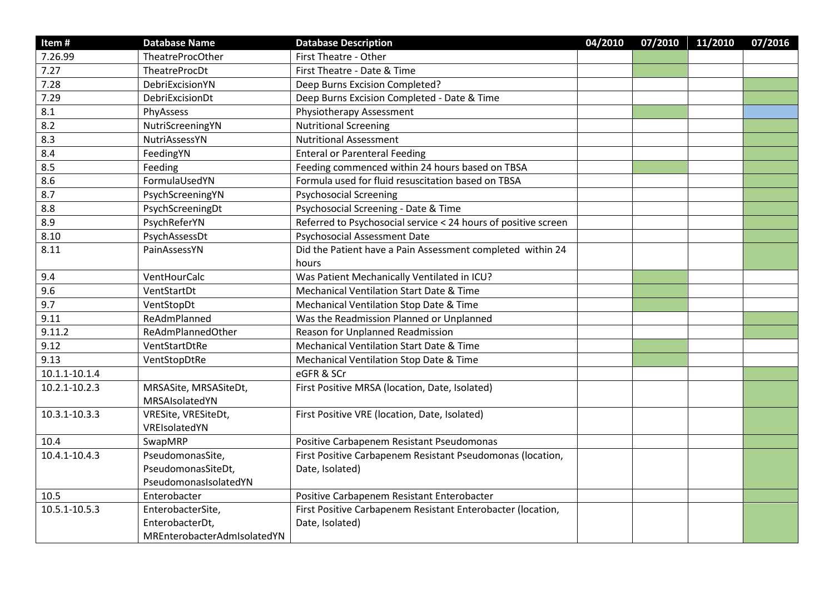| Item#         | <b>Database Name</b>                    | <b>Database Description</b>                                    | 04/2010 | 07/2010 | 11/2010 | 07/2016 |
|---------------|-----------------------------------------|----------------------------------------------------------------|---------|---------|---------|---------|
| 7.26.99       | TheatreProcOther                        | First Theatre - Other                                          |         |         |         |         |
| 7.27          | TheatreProcDt                           | First Theatre - Date & Time                                    |         |         |         |         |
| 7.28          | DebriExcisionYN                         | Deep Burns Excision Completed?                                 |         |         |         |         |
| 7.29          | DebriExcisionDt                         | Deep Burns Excision Completed - Date & Time                    |         |         |         |         |
| 8.1           | PhyAssess                               | Physiotherapy Assessment                                       |         |         |         |         |
| 8.2           | NutriScreeningYN                        | <b>Nutritional Screening</b>                                   |         |         |         |         |
| 8.3           | NutriAssessYN                           | <b>Nutritional Assessment</b>                                  |         |         |         |         |
| 8.4           | FeedingYN                               | <b>Enteral or Parenteral Feeding</b>                           |         |         |         |         |
| 8.5           | Feeding                                 | Feeding commenced within 24 hours based on TBSA                |         |         |         |         |
| 8.6           | FormulaUsedYN                           | Formula used for fluid resuscitation based on TBSA             |         |         |         |         |
| 8.7           | PsychScreeningYN                        | <b>Psychosocial Screening</b>                                  |         |         |         |         |
| 8.8           | PsychScreeningDt                        | Psychosocial Screening - Date & Time                           |         |         |         |         |
| 8.9           | PsychReferYN                            | Referred to Psychosocial service < 24 hours of positive screen |         |         |         |         |
| 8.10          | PsychAssessDt                           | <b>Psychosocial Assessment Date</b>                            |         |         |         |         |
| 8.11          | PainAssessYN                            | Did the Patient have a Pain Assessment completed within 24     |         |         |         |         |
|               |                                         | hours                                                          |         |         |         |         |
| 9.4           | VentHourCalc                            | Was Patient Mechanically Ventilated in ICU?                    |         |         |         |         |
| 9.6           | VentStartDt                             | Mechanical Ventilation Start Date & Time                       |         |         |         |         |
| 9.7           | VentStopDt                              | Mechanical Ventilation Stop Date & Time                        |         |         |         |         |
| 9.11          | ReAdmPlanned                            | Was the Readmission Planned or Unplanned                       |         |         |         |         |
| 9.11.2        | ReAdmPlannedOther                       | <b>Reason for Unplanned Readmission</b>                        |         |         |         |         |
| 9.12          | VentStartDtRe                           | Mechanical Ventilation Start Date & Time                       |         |         |         |         |
| 9.13          | VentStopDtRe                            | Mechanical Ventilation Stop Date & Time                        |         |         |         |         |
| 10.1.1-10.1.4 |                                         | eGFR & SCr                                                     |         |         |         |         |
| 10.2.1-10.2.3 | MRSASite, MRSASiteDt,<br>MRSAIsolatedYN | First Positive MRSA (location, Date, Isolated)                 |         |         |         |         |
| 10.3.1-10.3.3 | VRESite, VRESiteDt,                     | First Positive VRE (location, Date, Isolated)                  |         |         |         |         |
|               | VREIsolatedYN                           |                                                                |         |         |         |         |
| 10.4          | SwapMRP                                 | Positive Carbapenem Resistant Pseudomonas                      |         |         |         |         |
| 10.4.1-10.4.3 | PseudomonasSite,                        | First Positive Carbapenem Resistant Pseudomonas (location,     |         |         |         |         |
|               | PseudomonasSiteDt,                      | Date, Isolated)                                                |         |         |         |         |
|               | PseudomonasIsolatedYN                   |                                                                |         |         |         |         |
| 10.5          | Enterobacter                            | Positive Carbapenem Resistant Enterobacter                     |         |         |         |         |
| 10.5.1-10.5.3 | EnterobacterSite,                       | First Positive Carbapenem Resistant Enterobacter (location,    |         |         |         |         |
|               | EnterobacterDt,                         | Date, Isolated)                                                |         |         |         |         |
|               | MREnterobacterAdmIsolatedYN             |                                                                |         |         |         |         |